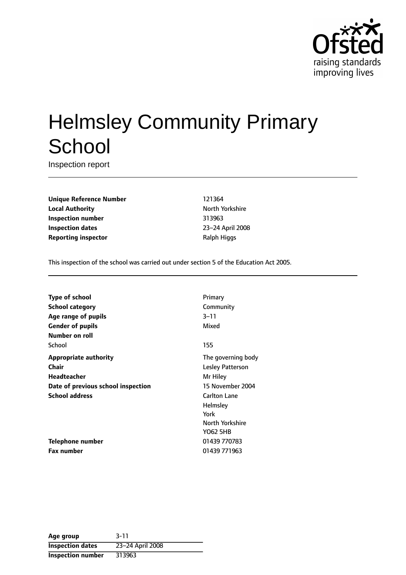

# Helmsley Community Primary **School**

Inspection report

**Unique Reference Number** 121364 **Local Authority North Yorkshire Inspection number** 313963 **Inspection dates** 23-24 April 2008 **Reporting inspector and Ralph Higgs** Ralph Higgs

This inspection of the school was carried out under section 5 of the Education Act 2005.

| Type of school                     | Primary                 |
|------------------------------------|-------------------------|
| School category                    | Community               |
| Age range of pupils                | $3 - 11$                |
| <b>Gender of pupils</b>            | Mixed                   |
| <b>Number on roll</b>              |                         |
| School                             | 155                     |
| <b>Appropriate authority</b>       | The governing body      |
| Chair                              | <b>Lesley Patterson</b> |
| Headteacher                        | Mr Hiley                |
| Date of previous school inspection | 15 November 2004        |
| <b>School address</b>              | <b>Carlton Lane</b>     |
|                                    | Helmsley                |
|                                    | York                    |
|                                    | North Yorkshire         |
|                                    | <b>YO62 5HB</b>         |
| Telephone number                   | 01439 770783            |
| Fax number                         | 01439 771963            |

| Age group                | $3 - 11$         |
|--------------------------|------------------|
| <b>Inspection dates</b>  | 23-24 April 2008 |
| <b>Inspection number</b> | 313963           |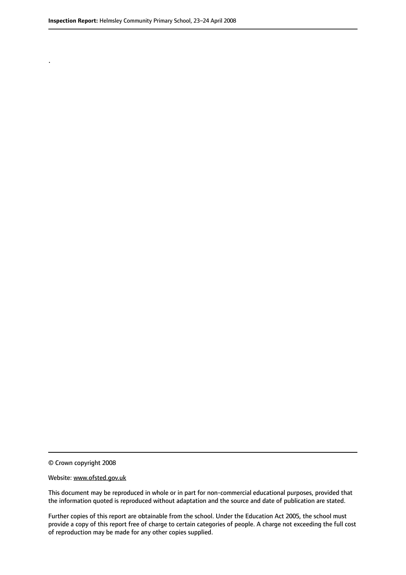.

© Crown copyright 2008

#### Website: www.ofsted.gov.uk

This document may be reproduced in whole or in part for non-commercial educational purposes, provided that the information quoted is reproduced without adaptation and the source and date of publication are stated.

Further copies of this report are obtainable from the school. Under the Education Act 2005, the school must provide a copy of this report free of charge to certain categories of people. A charge not exceeding the full cost of reproduction may be made for any other copies supplied.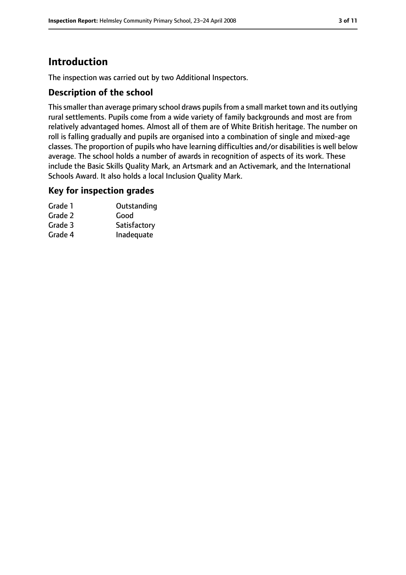# **Introduction**

The inspection was carried out by two Additional Inspectors.

## **Description of the school**

This smaller than average primary school draws pupils from a small market town and its outlying rural settlements. Pupils come from a wide variety of family backgrounds and most are from relatively advantaged homes. Almost all of them are of White British heritage. The number on roll is falling gradually and pupils are organised into a combination of single and mixed-age classes. The proportion of pupils who have learning difficulties and/or disabilities is well below average. The school holds a number of awards in recognition of aspects of its work. These include the Basic Skills Quality Mark, an Artsmark and an Activemark, and the International Schools Award. It also holds a local Inclusion Quality Mark.

## **Key for inspection grades**

| Grade 1 | Outstanding  |
|---------|--------------|
| Grade 2 | Good         |
| Grade 3 | Satisfactory |
| Grade 4 | Inadequate   |
|         |              |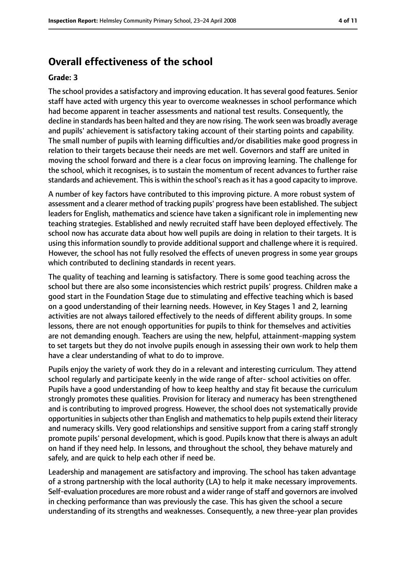# **Overall effectiveness of the school**

#### **Grade: 3**

The school provides a satisfactory and improving education. It has several good features. Senior staff have acted with urgency this year to overcome weaknesses in school performance which had become apparent in teacher assessments and national test results. Consequently, the decline in standards has been halted and they are now rising. The work seen was broadly average and pupils' achievement is satisfactory taking account of their starting points and capability. The small number of pupils with learning difficulties and/or disabilities make good progress in relation to their targets because their needs are met well. Governors and staff are united in moving the school forward and there is a clear focus on improving learning. The challenge for the school, which it recognises, is to sustain the momentum of recent advances to further raise standards and achievement. Thisis within the school'sreach asit has a good capacity to improve.

A number of key factors have contributed to this improving picture. A more robust system of assessment and a clearer method of tracking pupils' progress have been established. The subject leaders for English, mathematics and science have taken a significant role in implementing new teaching strategies. Established and newly recruited staff have been deployed effectively. The school now has accurate data about how well pupils are doing in relation to their targets. It is using this information soundly to provide additional support and challenge where it is required. However, the school has not fully resolved the effects of uneven progress in some year groups which contributed to declining standards in recent years.

The quality of teaching and learning is satisfactory. There is some good teaching across the school but there are also some inconsistencies which restrict pupils' progress. Children make a good start in the Foundation Stage due to stimulating and effective teaching which is based on a good understanding of their learning needs. However, in Key Stages 1 and 2, learning activities are not always tailored effectively to the needs of different ability groups. In some lessons, there are not enough opportunities for pupils to think for themselves and activities are not demanding enough. Teachers are using the new, helpful, attainment-mapping system to set targets but they do not involve pupils enough in assessing their own work to help them have a clear understanding of what to do to improve.

Pupils enjoy the variety of work they do in a relevant and interesting curriculum. They attend school regularly and participate keenly in the wide range of after- school activities on offer. Pupils have a good understanding of how to keep healthy and stay fit because the curriculum strongly promotes these qualities. Provision for literacy and numeracy has been strengthened and is contributing to improved progress. However, the school does not systematically provide opportunities in subjects other than English and mathematics to help pupils extend their literacy and numeracy skills. Very good relationships and sensitive support from a caring staff strongly promote pupils' personal development, which is good. Pupils know that there is always an adult on hand if they need help. In lessons, and throughout the school, they behave maturely and safely, and are quick to help each other if need be.

Leadership and management are satisfactory and improving. The school has taken advantage of a strong partnership with the local authority (LA) to help it make necessary improvements. Self-evaluation procedures are more robust and a wider range of staff and governors are involved in checking performance than was previously the case. This has given the school a secure understanding of its strengths and weaknesses. Consequently, a new three-year plan provides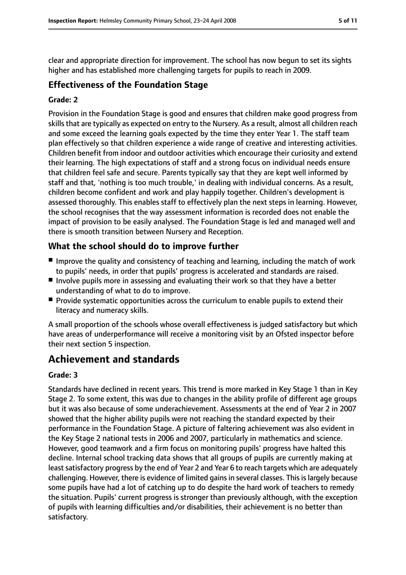clear and appropriate direction for improvement. The school has now begun to set its sights higher and has established more challenging targets for pupils to reach in 2009.

## **Effectiveness of the Foundation Stage**

#### **Grade: 2**

Provision in the Foundation Stage is good and ensures that children make good progress from skills that are typically as expected on entry to the Nursery. As a result, almost all children reach and some exceed the learning goals expected by the time they enter Year 1. The staff team plan effectively so that children experience a wide range of creative and interesting activities. Children benefit from indoor and outdoor activities which encourage their curiosity and extend their learning. The high expectations of staff and a strong focus on individual needs ensure that children feel safe and secure. Parents typically say that they are kept well informed by staff and that, 'nothing is too much trouble,' in dealing with individual concerns. As a result, children become confident and work and play happily together. Children's development is assessed thoroughly. This enables staff to effectively plan the next steps in learning. However, the school recognises that the way assessment information is recorded does not enable the impact of provision to be easily analysed. The Foundation Stage is led and managed well and there is smooth transition between Nursery and Reception.

# **What the school should do to improve further**

- Improve the quality and consistency of teaching and learning, including the match of work to pupils' needs, in order that pupils' progress is accelerated and standards are raised.
- Involve pupils more in assessing and evaluating their work so that they have a better understanding of what to do to improve.
- Provide systematic opportunities across the curriculum to enable pupils to extend their literacy and numeracy skills.

A small proportion of the schools whose overall effectiveness is judged satisfactory but which have areas of underperformance will receive a monitoring visit by an Ofsted inspector before their next section 5 inspection.

# **Achievement and standards**

#### **Grade: 3**

Standards have declined in recent years. This trend is more marked in Key Stage 1 than in Key Stage 2. To some extent, this was due to changes in the ability profile of different age groups but it was also because of some underachievement. Assessments at the end of Year 2 in 2007 showed that the higher ability pupils were not reaching the standard expected by their performance in the Foundation Stage. A picture of faltering achievement was also evident in the Key Stage 2 national tests in 2006 and 2007, particularly in mathematics and science. However, good teamwork and a firm focus on monitoring pupils' progress have halted this decline. Internal school tracking data shows that all groups of pupils are currently making at least satisfactory progress by the end of Year 2 and Year 6 to reach targets which are adequately challenging. However, there is evidence of limited gains in several classes. This is largely because some pupils have had a lot of catching up to do despite the hard work of teachers to remedy the situation. Pupils' current progress is stronger than previously although, with the exception of pupils with learning difficulties and/or disabilities, their achievement is no better than satisfactory.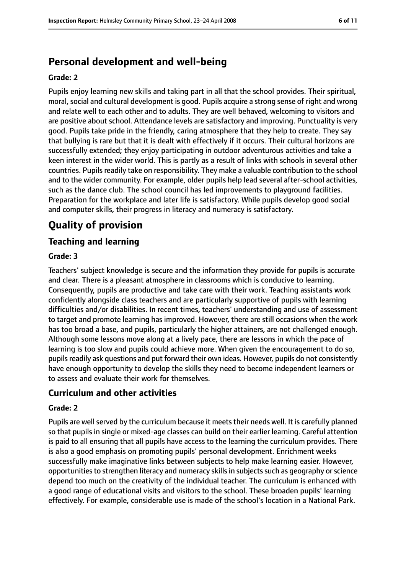# **Personal development and well-being**

#### **Grade: 2**

Pupils enjoy learning new skills and taking part in all that the school provides. Their spiritual, moral, social and cultural development is good. Pupils acquire a strong sense of right and wrong and relate well to each other and to adults. They are well behaved, welcoming to visitors and are positive about school. Attendance levels are satisfactory and improving. Punctuality is very good. Pupils take pride in the friendly, caring atmosphere that they help to create. They say that bullying is rare but that it is dealt with effectively if it occurs. Their cultural horizons are successfully extended; they enjoy participating in outdoor adventurous activities and take a keen interest in the wider world. This is partly as a result of links with schools in several other countries. Pupils readily take on responsibility. They make a valuable contribution to the school and to the wider community. For example, older pupils help lead several after-school activities, such as the dance club. The school council has led improvements to playground facilities. Preparation for the workplace and later life is satisfactory. While pupils develop good social and computer skills, their progress in literacy and numeracy is satisfactory.

# **Quality of provision**

## **Teaching and learning**

#### **Grade: 3**

Teachers' subject knowledge is secure and the information they provide for pupils is accurate and clear. There is a pleasant atmosphere in classrooms which is conducive to learning. Consequently, pupils are productive and take care with their work. Teaching assistants work confidently alongside class teachers and are particularly supportive of pupils with learning difficulties and/or disabilities. In recent times, teachers' understanding and use of assessment to target and promote learning has improved. However, there are still occasions when the work has too broad a base, and pupils, particularly the higher attainers, are not challenged enough. Although some lessons move along at a lively pace, there are lessons in which the pace of learning is too slow and pupils could achieve more. When given the encouragement to do so, pupils readily ask questions and put forward their own ideas. However, pupils do not consistently have enough opportunity to develop the skills they need to become independent learners or to assess and evaluate their work for themselves.

## **Curriculum and other activities**

#### **Grade: 2**

Pupils are well served by the curriculum because it meets their needs well. It is carefully planned so that pupils in single or mixed-age classes can build on their earlier learning. Careful attention is paid to all ensuring that all pupils have access to the learning the curriculum provides. There is also a good emphasis on promoting pupils' personal development. Enrichment weeks successfully make imaginative links between subjects to help make learning easier. However, opportunitiesto strengthen literacy and numeracy skillsin subjectssuch as geography orscience depend too much on the creativity of the individual teacher. The curriculum is enhanced with a good range of educational visits and visitors to the school. These broaden pupils' learning effectively. For example, considerable use is made of the school's location in a National Park.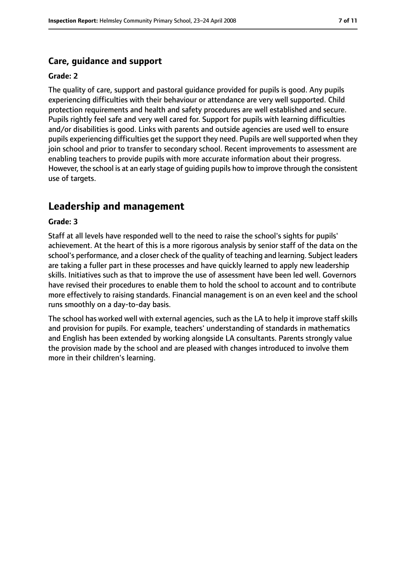## **Care, guidance and support**

#### **Grade: 2**

The quality of care, support and pastoral guidance provided for pupils is good. Any pupils experiencing difficulties with their behaviour or attendance are very well supported. Child protection requirements and health and safety procedures are well established and secure. Pupils rightly feel safe and very well cared for. Support for pupils with learning difficulties and/or disabilities is good. Links with parents and outside agencies are used well to ensure pupils experiencing difficulties get the support they need. Pupils are well supported when they join school and prior to transfer to secondary school. Recent improvements to assessment are enabling teachers to provide pupils with more accurate information about their progress. However, the school is at an early stage of guiding pupils how to improve through the consistent use of targets.

# **Leadership and management**

#### **Grade: 3**

Staff at all levels have responded well to the need to raise the school's sights for pupils' achievement. At the heart of this is a more rigorous analysis by senior staff of the data on the school's performance, and a closer check of the quality of teaching and learning. Subject leaders are taking a fuller part in these processes and have quickly learned to apply new leadership skills. Initiatives such as that to improve the use of assessment have been led well. Governors have revised their procedures to enable them to hold the school to account and to contribute more effectively to raising standards. Financial management is on an even keel and the school runs smoothly on a day-to-day basis.

The school has worked well with external agencies, such as the LA to help it improve staff skills and provision for pupils. For example, teachers' understanding of standards in mathematics and English has been extended by working alongside LA consultants. Parents strongly value the provision made by the school and are pleased with changes introduced to involve them more in their children's learning.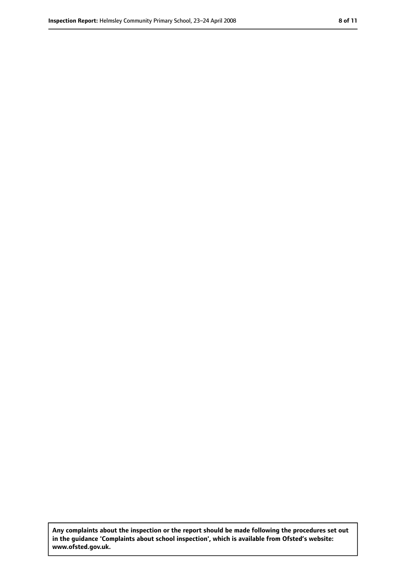**Any complaints about the inspection or the report should be made following the procedures set out in the guidance 'Complaints about school inspection', which is available from Ofsted's website: www.ofsted.gov.uk.**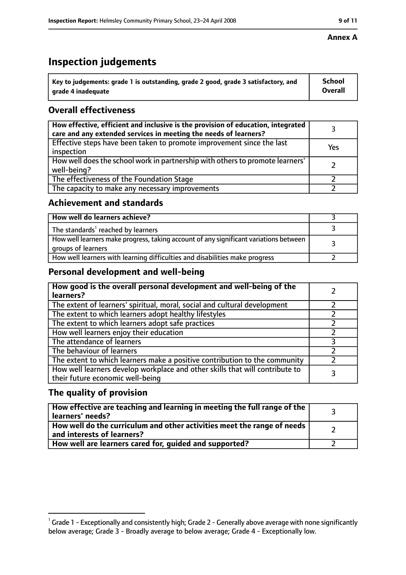# **Inspection judgements**

| $^{\backprime}$ Key to judgements: grade 1 is outstanding, grade 2 good, grade 3 satisfactory, and | School         |
|----------------------------------------------------------------------------------------------------|----------------|
| arade 4 inadeguate                                                                                 | <b>Overall</b> |

# **Overall effectiveness**

| How effective, efficient and inclusive is the provision of education, integrated<br>care and any extended services in meeting the needs of learners? |     |
|------------------------------------------------------------------------------------------------------------------------------------------------------|-----|
| Effective steps have been taken to promote improvement since the last<br>inspection                                                                  | Yes |
| How well does the school work in partnership with others to promote learners'<br>well-being?                                                         |     |
| The effectiveness of the Foundation Stage                                                                                                            |     |
| The capacity to make any necessary improvements                                                                                                      |     |

## **Achievement and standards**

| How well do learners achieve?                                                                               |  |
|-------------------------------------------------------------------------------------------------------------|--|
| The standards <sup>1</sup> reached by learners                                                              |  |
| How well learners make progress, taking account of any significant variations between<br>groups of learners |  |
| How well learners with learning difficulties and disabilities make progress                                 |  |

## **Personal development and well-being**

| How good is the overall personal development and well-being of the<br>learners?                                  |  |
|------------------------------------------------------------------------------------------------------------------|--|
| The extent of learners' spiritual, moral, social and cultural development                                        |  |
| The extent to which learners adopt healthy lifestyles                                                            |  |
| The extent to which learners adopt safe practices                                                                |  |
| How well learners enjoy their education                                                                          |  |
| The attendance of learners                                                                                       |  |
| The behaviour of learners                                                                                        |  |
| The extent to which learners make a positive contribution to the community                                       |  |
| How well learners develop workplace and other skills that will contribute to<br>their future economic well-being |  |

## **The quality of provision**

| How effective are teaching and learning in meeting the full range of the<br>learners' needs?          |  |
|-------------------------------------------------------------------------------------------------------|--|
| How well do the curriculum and other activities meet the range of needs<br>and interests of learners? |  |
| How well are learners cared for, guided and supported?                                                |  |

#### **Annex A**

 $^1$  Grade 1 - Exceptionally and consistently high; Grade 2 - Generally above average with none significantly below average; Grade 3 - Broadly average to below average; Grade 4 - Exceptionally low.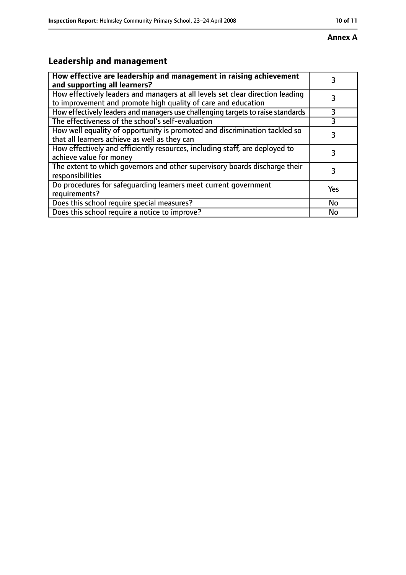#### **Annex A**

# **Leadership and management**

| How effective are leadership and management in raising achievement<br>and supporting all learners?                                              | 3   |
|-------------------------------------------------------------------------------------------------------------------------------------------------|-----|
| How effectively leaders and managers at all levels set clear direction leading<br>to improvement and promote high quality of care and education |     |
| How effectively leaders and managers use challenging targets to raise standards                                                                 | 3   |
| The effectiveness of the school's self-evaluation                                                                                               |     |
| How well equality of opportunity is promoted and discrimination tackled so<br>that all learners achieve as well as they can                     | 3   |
| How effectively and efficiently resources, including staff, are deployed to<br>achieve value for money                                          | 3   |
| The extent to which governors and other supervisory boards discharge their<br>responsibilities                                                  | 3   |
| Do procedures for safequarding learners meet current government<br>requirements?                                                                | Yes |
| Does this school require special measures?                                                                                                      | No  |
| Does this school require a notice to improve?                                                                                                   | No  |